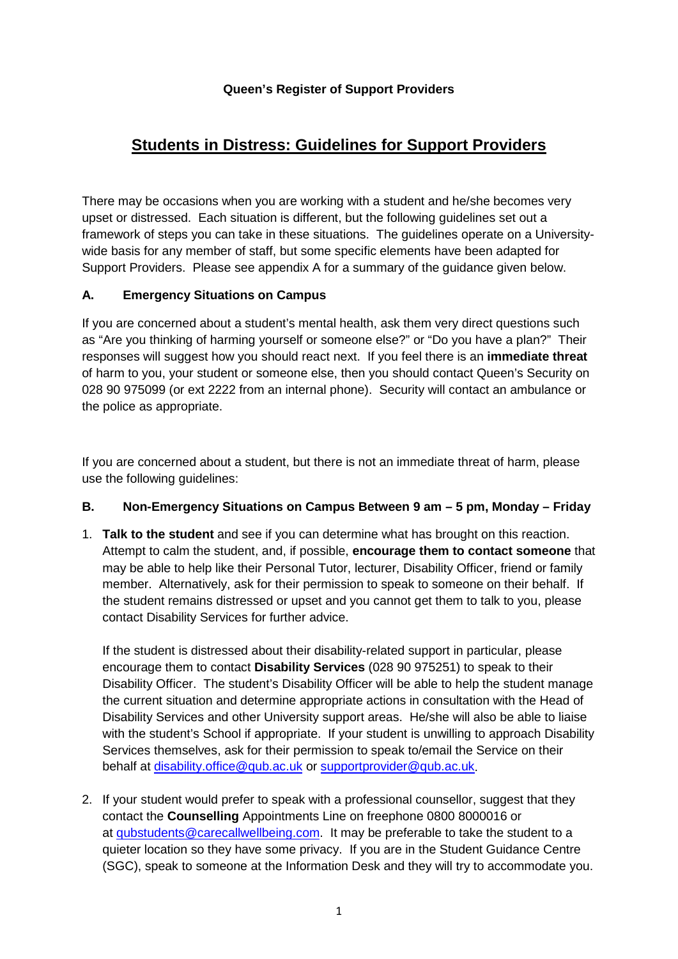# **Students in Distress: Guidelines for Support Providers**

There may be occasions when you are working with a student and he/she becomes very upset or distressed. Each situation is different, but the following guidelines set out a framework of steps you can take in these situations. The guidelines operate on a Universitywide basis for any member of staff, but some specific elements have been adapted for Support Providers. Please see appendix A for a summary of the guidance given below.

### **A. Emergency Situations on Campus**

If you are concerned about a student's mental health, ask them very direct questions such as "Are you thinking of harming yourself or someone else?" or "Do you have a plan?" Their responses will suggest how you should react next. If you feel there is an **immediate threat** of harm to you, your student or someone else, then you should contact Queen's Security on 028 90 975099 (or ext 2222 from an internal phone). Security will contact an ambulance or the police as appropriate.

If you are concerned about a student, but there is not an immediate threat of harm, please use the following guidelines:

#### **B. Non-Emergency Situations on Campus Between 9 am – 5 pm, Monday – Friday**

1. **Talk to the student** and see if you can determine what has brought on this reaction. Attempt to calm the student, and, if possible, **encourage them to contact someone** that may be able to help like their Personal Tutor, lecturer, Disability Officer, friend or family member. Alternatively, ask for their permission to speak to someone on their behalf. If the student remains distressed or upset and you cannot get them to talk to you, please contact Disability Services for further advice.

If the student is distressed about their disability-related support in particular, please encourage them to contact **Disability Services** (028 90 975251) to speak to their Disability Officer. The student's Disability Officer will be able to help the student manage the current situation and determine appropriate actions in consultation with the Head of Disability Services and other University support areas. He/she will also be able to liaise with the student's School if appropriate. If your student is unwilling to approach Disability Services themselves, ask for their permission to speak to/email the Service on their behalf at [disability.office@qub.ac.uk](mailto:disability.office@qub.ac.uk) or [supportprovider@qub.ac.uk.](mailto:supportprovider@qub.ac.uk)

2. If your student would prefer to speak with a professional counsellor, suggest that they contact the **Counselling** Appointments Line on freephone 0800 8000016 or at [qubstudents@carecallwellbeing.com.](mailto:qubstudents@carecallwellbeing.com) It may be preferable to take the student to a quieter location so they have some privacy. If you are in the Student Guidance Centre (SGC), speak to someone at the Information Desk and they will try to accommodate you.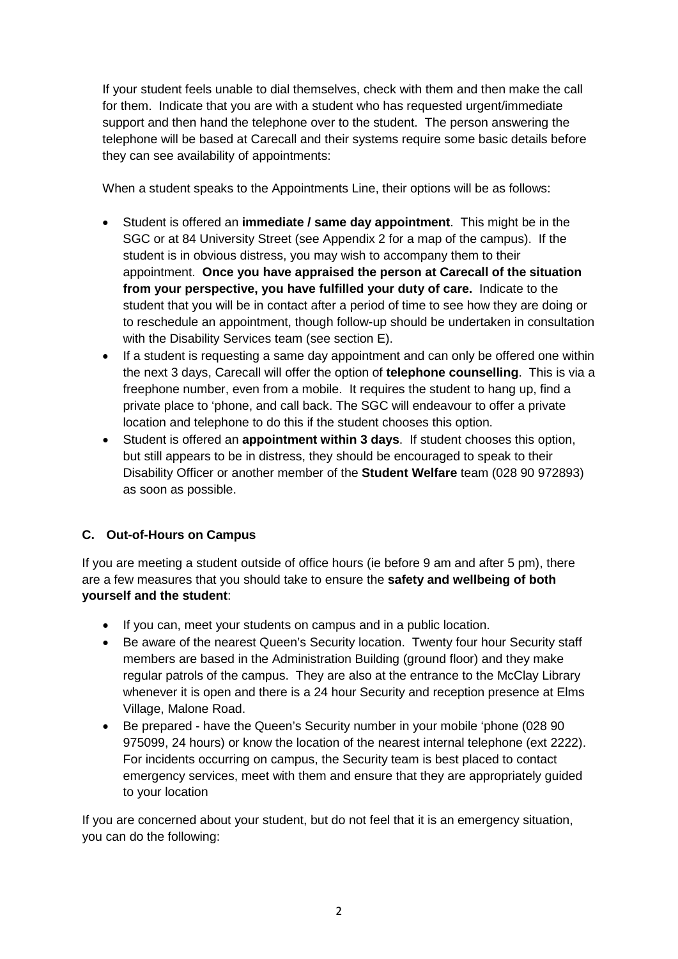If your student feels unable to dial themselves, check with them and then make the call for them. Indicate that you are with a student who has requested urgent/immediate support and then hand the telephone over to the student. The person answering the telephone will be based at Carecall and their systems require some basic details before they can see availability of appointments:

When a student speaks to the Appointments Line, their options will be as follows:

- Student is offered an **immediate / same day appointment**. This might be in the SGC or at 84 University Street (see Appendix 2 for a map of the campus). If the student is in obvious distress, you may wish to accompany them to their appointment. **Once you have appraised the person at Carecall of the situation from your perspective, you have fulfilled your duty of care.** Indicate to the student that you will be in contact after a period of time to see how they are doing or to reschedule an appointment, though follow-up should be undertaken in consultation with the Disability Services team (see section E).
- If a student is requesting a same day appointment and can only be offered one within the next 3 days, Carecall will offer the option of **telephone counselling**. This is via a freephone number, even from a mobile. It requires the student to hang up, find a private place to 'phone, and call back. The SGC will endeavour to offer a private location and telephone to do this if the student chooses this option.
- Student is offered an **appointment within 3 days**. If student chooses this option, but still appears to be in distress, they should be encouraged to speak to their Disability Officer or another member of the **Student Welfare** team (028 90 972893) as soon as possible.

### **C. Out-of-Hours on Campus**

If you are meeting a student outside of office hours (ie before 9 am and after 5 pm), there are a few measures that you should take to ensure the **safety and wellbeing of both yourself and the student**:

- If you can, meet your students on campus and in a public location.
- Be aware of the nearest Queen's Security location. Twenty four hour Security staff members are based in the Administration Building (ground floor) and they make regular patrols of the campus. They are also at the entrance to the McClay Library whenever it is open and there is a 24 hour Security and reception presence at Elms Village, Malone Road.
- Be prepared have the Queen's Security number in your mobile 'phone (028 90 975099, 24 hours) or know the location of the nearest internal telephone (ext 2222). For incidents occurring on campus, the Security team is best placed to contact emergency services, meet with them and ensure that they are appropriately guided to your location

If you are concerned about your student, but do not feel that it is an emergency situation, you can do the following: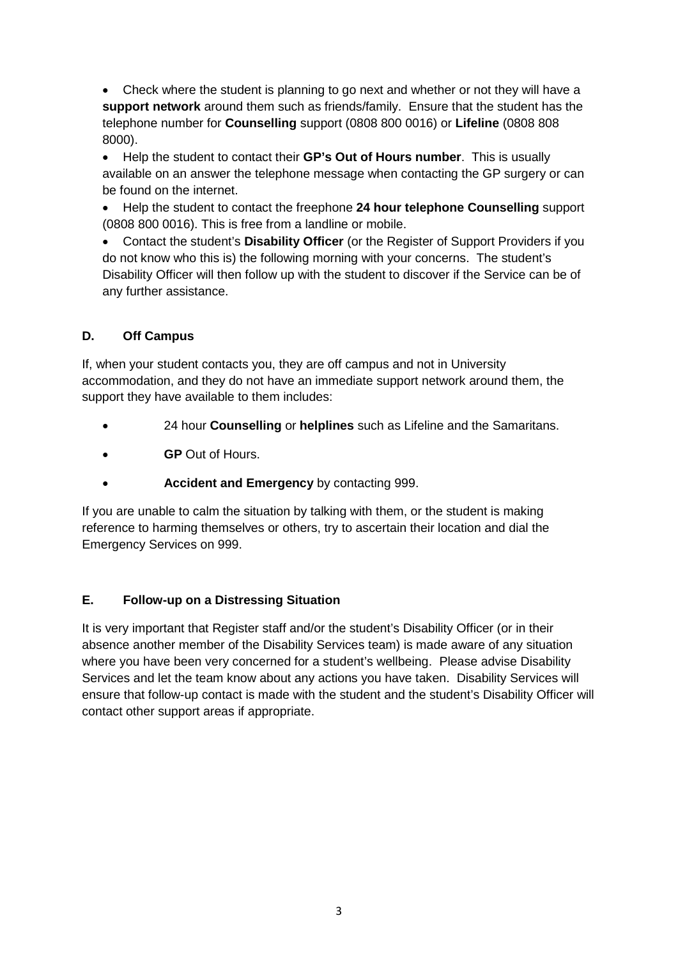• Check where the student is planning to go next and whether or not they will have a **support network** around them such as friends/family. Ensure that the student has the telephone number for **Counselling** support (0808 800 0016) or **Lifeline** (0808 808 8000).

• Help the student to contact their **GP's Out of Hours number**. This is usually available on an answer the telephone message when contacting the GP surgery or can be found on the internet.

• Help the student to contact the freephone **24 hour telephone Counselling** support (0808 800 0016). This is free from a landline or mobile.

• Contact the student's **Disability Officer** (or the Register of Support Providers if you do not know who this is) the following morning with your concerns. The student's Disability Officer will then follow up with the student to discover if the Service can be of any further assistance.

### **D. Off Campus**

If, when your student contacts you, they are off campus and not in University accommodation, and they do not have an immediate support network around them, the support they have available to them includes:

- 24 hour **Counselling** or **helplines** such as Lifeline and the Samaritans.
- **GP** Out of Hours.
- **Accident and Emergency** by contacting 999.

If you are unable to calm the situation by talking with them, or the student is making reference to harming themselves or others, try to ascertain their location and dial the Emergency Services on 999.

### **E. Follow-up on a Distressing Situation**

It is very important that Register staff and/or the student's Disability Officer (or in their absence another member of the Disability Services team) is made aware of any situation where you have been very concerned for a student's wellbeing. Please advise Disability Services and let the team know about any actions you have taken. Disability Services will ensure that follow-up contact is made with the student and the student's Disability Officer will contact other support areas if appropriate.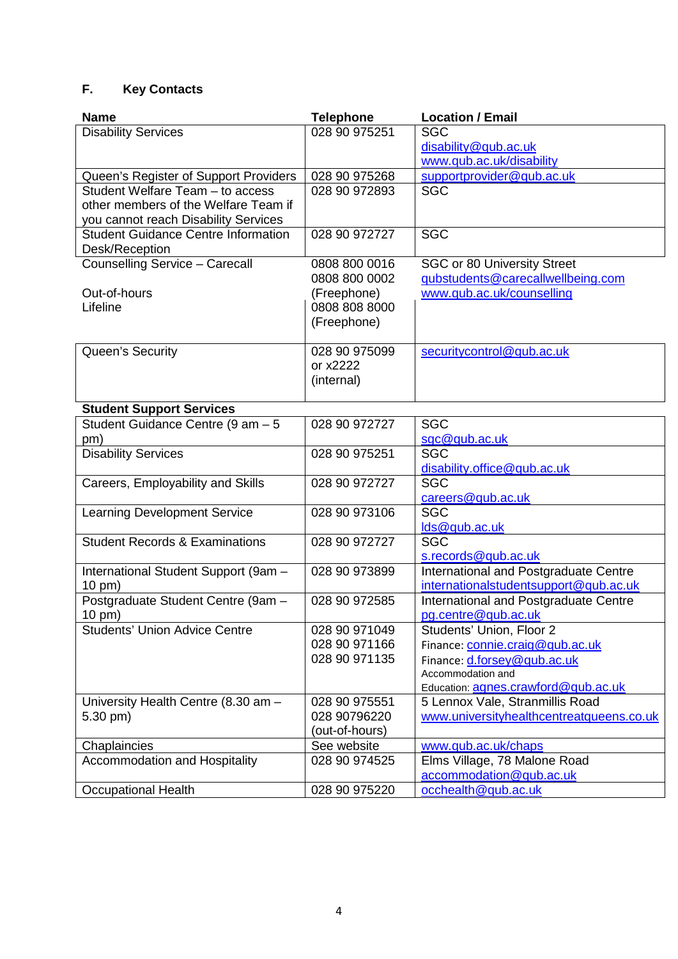# **F. Key Contacts**

| <b>Name</b>                                | <b>Telephone</b> | <b>Location / Email</b>                  |
|--------------------------------------------|------------------|------------------------------------------|
| <b>Disability Services</b>                 | 028 90 975251    | <b>SGC</b>                               |
|                                            |                  | disability@qub.ac.uk                     |
|                                            |                  | www.qub.ac.uk/disability                 |
| Queen's Register of Support Providers      | 028 90 975268    | supportprovider@qub.ac.uk                |
| Student Welfare Team - to access           | 028 90 972893    | <b>SGC</b>                               |
| other members of the Welfare Team if       |                  |                                          |
| you cannot reach Disability Services       |                  |                                          |
| <b>Student Guidance Centre Information</b> | 028 90 972727    | <b>SGC</b>                               |
| Desk/Reception                             |                  |                                          |
| Counselling Service - Carecall             | 0808 800 0016    | <b>SGC or 80 University Street</b>       |
|                                            | 0808 800 0002    | gubstudents@carecallwellbeing.com        |
| Out-of-hours                               | (Freephone)      | www.qub.ac.uk/counselling                |
| Lifeline                                   | 0808 808 8000    |                                          |
|                                            | (Freephone)      |                                          |
|                                            |                  |                                          |
| Queen's Security                           | 028 90 975099    | securitycontrol@qub.ac.uk                |
|                                            | or x2222         |                                          |
|                                            | (internal)       |                                          |
|                                            |                  |                                          |
| <b>Student Support Services</b>            |                  |                                          |
| Student Guidance Centre (9 $am - 5$        | 028 90 972727    | <b>SGC</b>                               |
| pm)                                        |                  | sgc@qub.ac.uk                            |
| <b>Disability Services</b>                 | 028 90 975251    | <b>SGC</b>                               |
|                                            |                  | disability.office@qub.ac.uk              |
| Careers, Employability and Skills          | 028 90 972727    | <b>SGC</b>                               |
|                                            | 028 90 973106    | careers@qub.ac.uk<br><b>SGC</b>          |
| <b>Learning Development Service</b>        |                  |                                          |
| <b>Student Records &amp; Examinations</b>  | 028 90 972727    | lds@qub.ac.uk<br><b>SGC</b>              |
|                                            |                  | s.records@qub.ac.uk                      |
| International Student Support (9am -       | 028 90 973899    | International and Postgraduate Centre    |
| 10 pm)                                     |                  | internationalstudentsupport@qub.ac.uk    |
| Postgraduate Student Centre (9am -         | 028 90 972585    | International and Postgraduate Centre    |
| 10 pm)                                     |                  | pg.centre@qub.ac.uk                      |
| <b>Students' Union Advice Centre</b>       | 028 90 971049    | Students' Union, Floor 2                 |
|                                            | 028 90 971166    | Finance: connie.craig@qub.ac.uk          |
|                                            | 028 90 971135    | Finance: d.forsey@qub.ac.uk              |
|                                            |                  | Accommodation and                        |
|                                            |                  | Education: agnes.crawford@qub.ac.uk      |
| University Health Centre (8.30 am -        | 028 90 975551    | 5 Lennox Vale, Stranmillis Road          |
| $5.30$ pm)                                 | 028 90796220     | www.universityhealthcentreatqueens.co.uk |
|                                            | (out-of-hours)   |                                          |
| Chaplaincies                               | See website      | www.qub.ac.uk/chaps                      |
| Accommodation and Hospitality              | 028 90 974525    | Elms Village, 78 Malone Road             |
|                                            |                  | accommodation@qub.ac.uk                  |
| <b>Occupational Health</b>                 | 028 90 975220    | occhealth@qub.ac.uk                      |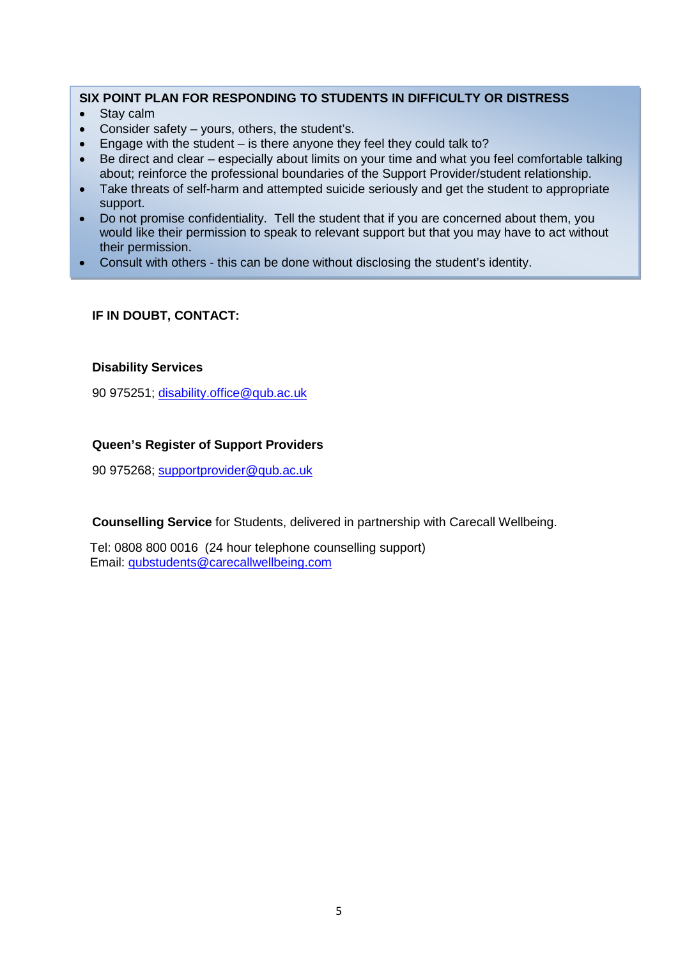#### **SIX POINT PLAN FOR RESPONDING TO STUDENTS IN DIFFICULTY OR DISTRESS**

- Stay calm
- Consider safety  $-$  yours, others, the student's.
- Engage with the student  $-$  is there anyone they feel they could talk to?
- Be direct and clear especially about limits on your time and what you feel comfortable talking about; reinforce the professional boundaries of the Support Provider/student relationship.
- Take threats of self-harm and attempted suicide seriously and get the student to appropriate support.
- Do not promise confidentiality. Tell the student that if you are concerned about them, you would like their permission to speak to relevant support but that you may have to act without their permission.
- Consult with others this can be done without disclosing the student's identity.

#### **IF IN DOUBT, CONTACT:**

#### **Disability Services**

90 975251; [disability.office@qub.ac.uk](mailto:disability.office@qub.ac.uk)

#### **Queen's Register of Support Providers**

90 975268; [supportprovider@qub.ac.uk](mailto:supportprovider@qub.ac.uk)

**Counselling Service** for Students, delivered in partnership with Carecall Wellbeing.

Tel: 0808 800 0016 (24 hour telephone counselling support) Email: [qubstudents@carecallwellbeing.com](mailto:qubstudents@carecallwellbeing.com)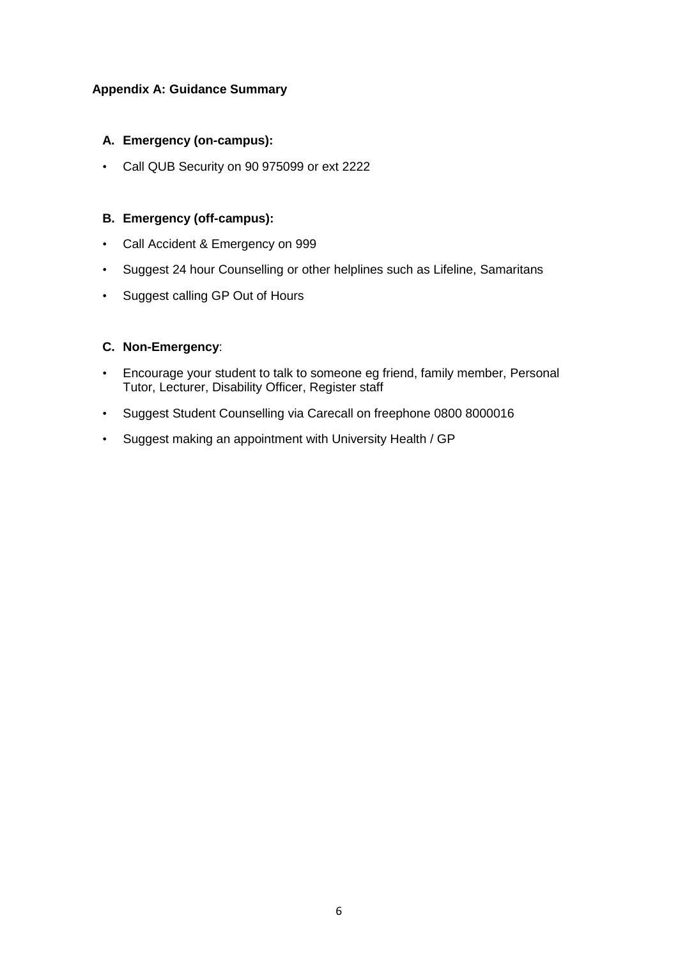#### **Appendix A: Guidance Summary**

#### **A. Emergency (on-campus):**

• Call QUB Security on 90 975099 or ext 2222

### **B. Emergency (off-campus):**

- Call Accident & Emergency on 999
- Suggest 24 hour Counselling or other helplines such as Lifeline, Samaritans
- Suggest calling GP Out of Hours

#### **C. Non-Emergency**:

- Encourage your student to talk to someone eg friend, family member, Personal Tutor, Lecturer, Disability Officer, Register staff
- Suggest Student Counselling via Carecall on freephone 0800 8000016
- Suggest making an appointment with University Health / GP